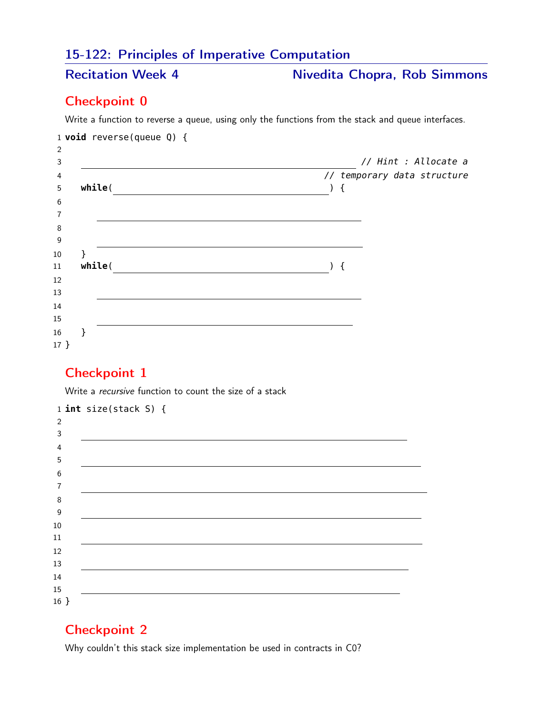# 15-122: Principles of Imperative Computation

Recitation Week 4 Nivedita Chopra, Rob Simmons

### Checkpoint 0

Write a function to reverse a queue, using only the functions from the stack and queue interfaces.

|         | 1 <b>void</b> reverse(queue $Q$ ) { |                                                      |
|---------|-------------------------------------|------------------------------------------------------|
| 2       |                                     |                                                      |
| 3       |                                     | // Hint : Allocate a                                 |
| 4       |                                     | // temporary data structure                          |
| 5       | while(                              | ₹                                                    |
| $\,6\,$ |                                     |                                                      |
| 7       |                                     |                                                      |
| $\,8\,$ |                                     |                                                      |
| 9       |                                     |                                                      |
| 10      |                                     |                                                      |
| 11      | while(                              | $\left( \begin{array}{c} 1 \\ 1 \end{array} \right)$ |
| 12      |                                     |                                                      |
| 13      |                                     |                                                      |
| $14\,$  |                                     |                                                      |
| 15      |                                     |                                                      |
| 16      |                                     |                                                      |
| $17 \}$ |                                     |                                                      |

#### Checkpoint 1

Write a recursive function to count the size of a stack

|                | $1$ int size(stack S) { |
|----------------|-------------------------|
| $\overline{2}$ |                         |
| 3              |                         |
| 4              |                         |
| 5              |                         |
| 6              |                         |
| 7              |                         |
| 8              |                         |
| 9              |                         |
| $10\,$         |                         |
| 11             |                         |
| 12             |                         |
| 13             |                         |
| $14\,$         |                         |
| 15             |                         |
| $16 \}$        |                         |

## Checkpoint 2

Why couldn't this stack size implementation be used in contracts in C0?